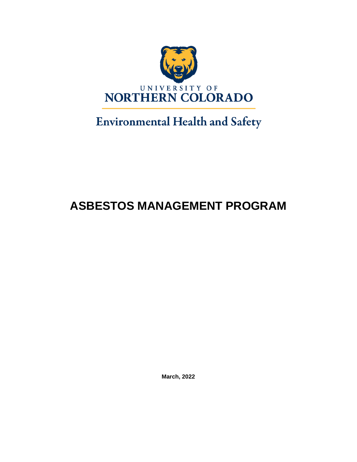

# **Environmental Health and Safety**

# **ASBESTOS MANAGEMENT PROGRAM**

**March, 2022**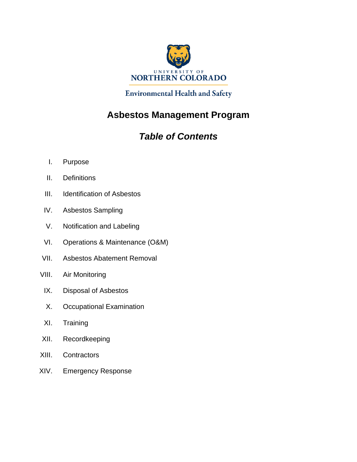

**Environmental Health and Safety** 

# **Asbestos Management Program**

# *Table of Contents*

- I. Purpose
- II. Definitions
- III. Identification of Asbestos
- IV. Asbestos Sampling
- V. Notification and Labeling
- VI. Operations & Maintenance (O&M)
- VII. Asbestos Abatement Removal
- VIII. Air Monitoring
- IX. Disposal of Asbestos
- X. Occupational Examination
- XI. Training
- XII. Recordkeeping
- XIII. Contractors
- XIV. Emergency Response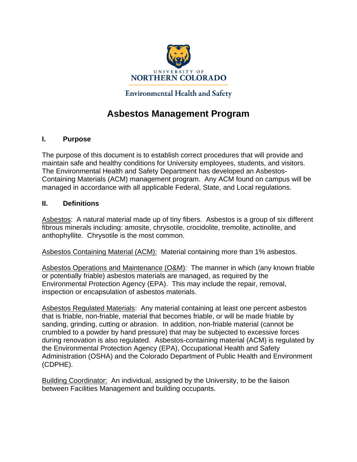

# **Environmental Health and Safety**

# **Asbestos Management Program**

#### **I. Purpose**

The purpose of this document is to establish correct procedures that will provide and maintain safe and healthy conditions for University employees, students, and visitors. The Environmental Health and Safety Department has developed an Asbestos-Containing Materials (ACM) management program. Any ACM found on campus will be managed in accordance with all applicable Federal, State, and Local regulations.

#### **II. Definitions**

Asbestos: A natural material made up of tiny fibers. Asbestos is a group of six different fibrous minerals including: amosite, chrysotile, crocidolite, tremolite, actinolite, and anthophyllite. Chrysotile is the most common.

Asbestos Containing Material (ACM): Material containing more than 1% asbestos.

Asbestos Operations and Maintenance (O&M): The manner in which (any known friable or potentially friable) asbestos materials are managed, as required by the Environmental Protection Agency (EPA). This may include the repair, removal, inspection or encapsulation of asbestos materials.

Asbestos Regulated Materials: Any material containing at least one percent asbestos that is friable, non-friable, material that becomes friable, or will be made friable by sanding, grinding, cutting or abrasion. In addition, non-friable material (cannot be crumbled to a powder by hand pressure) that may be subjected to excessive forces during renovation is also regulated. Asbestos-containing material (ACM) is regulated by the Environmental Protection Agency (EPA), Occupational Health and Safety Administration (OSHA) and the Colorado Department of Public Health and Environment (CDPHE).

Building Coordinator: An individual, assigned by the University, to be the liaison between Facilities Management and building occupants.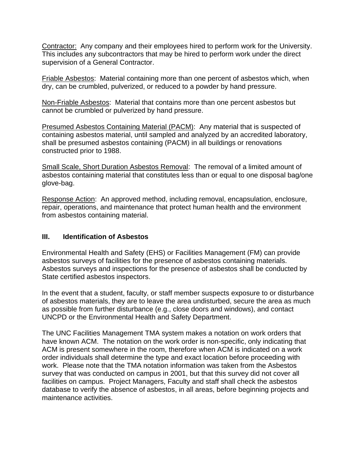Contractor: Any company and their employees hired to perform work for the University. This includes any subcontractors that may be hired to perform work under the direct supervision of a General Contractor.

Friable Asbestos: Material containing more than one percent of asbestos which, when dry, can be crumbled, pulverized, or reduced to a powder by hand pressure.

Non-Friable Asbestos: Material that contains more than one percent asbestos but cannot be crumbled or pulverized by hand pressure.

Presumed Asbestos Containing Material (PACM): Any material that is suspected of containing asbestos material, until sampled and analyzed by an accredited laboratory, shall be presumed asbestos containing (PACM) in all buildings or renovations constructed prior to 1988.

Small Scale, Short Duration Asbestos Removal: The removal of a limited amount of asbestos containing material that constitutes less than or equal to one disposal bag/one glove-bag.

Response Action: An approved method, including removal, encapsulation, enclosure, repair, operations, and maintenance that protect human health and the environment from asbestos containing material.

### **III. Identification of Asbestos**

Environmental Health and Safety (EHS) or Facilities Management (FM) can provide asbestos surveys of facilities for the presence of asbestos containing materials. Asbestos surveys and inspections for the presence of asbestos shall be conducted by State certified asbestos inspectors.

In the event that a student, faculty, or staff member suspects exposure to or disturbance of asbestos materials, they are to leave the area undisturbed, secure the area as much as possible from further disturbance (e.g., close doors and windows), and contact UNCPD or the Environmental Health and Safety Department.

The UNC Facilities Management TMA system makes a notation on work orders that have known ACM. The notation on the work order is non-specific, only indicating that ACM is present somewhere in the room, therefore when ACM is indicated on a work order individuals shall determine the type and exact location before proceeding with work. Please note that the TMA notation information was taken from the Asbestos survey that was conducted on campus in 2001, but that this survey did not cover all facilities on campus. Project Managers, Faculty and staff shall check the asbestos database to verify the absence of asbestos, in all areas, before beginning projects and maintenance activities.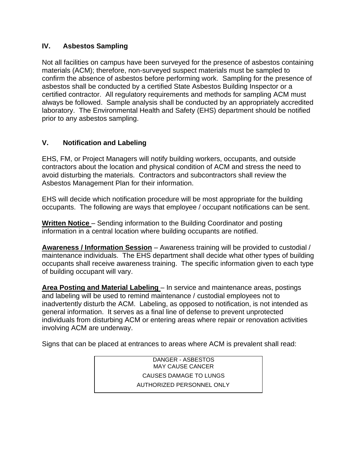## **IV. Asbestos Sampling**

Not all facilities on campus have been surveyed for the presence of asbestos containing materials (ACM); therefore, non-surveyed suspect materials must be sampled to confirm the absence of asbestos before performing work. Sampling for the presence of asbestos shall be conducted by a certified State Asbestos Building Inspector or a certified contractor. All regulatory requirements and methods for sampling ACM must always be followed. Sample analysis shall be conducted by an appropriately accredited laboratory. The Environmental Health and Safety (EHS) department should be notified prior to any asbestos sampling.

## **V. Notification and Labeling**

EHS, FM, or Project Managers will notify building workers, occupants, and outside contractors about the location and physical condition of ACM and stress the need to avoid disturbing the materials. Contractors and subcontractors shall review the Asbestos Management Plan for their information.

EHS will decide which notification procedure will be most appropriate for the building occupants. The following are ways that employee / occupant notifications can be sent.

**Written Notice** – Sending information to the Building Coordinator and posting information in a central location where building occupants are notified.

**Awareness / Information Session** – Awareness training will be provided to custodial / maintenance individuals. The EHS department shall decide what other types of building occupants shall receive awareness training. The specific information given to each type of building occupant will vary.

**Area Posting and Material Labeling** – In service and maintenance areas, postings and labeling will be used to remind maintenance / custodial employees not to inadvertently disturb the ACM. Labeling, as opposed to notification, is not intended as general information. It serves as a final line of defense to prevent unprotected individuals from disturbing ACM or entering areas where repair or renovation activities involving ACM are underway.

Signs that can be placed at entrances to areas where ACM is prevalent shall read:

DANGER - ASBESTOS MAY CAUSE CANCER CAUSES DAMAGE TO LUNGS AUTHORIZED PERSONNEL ONLY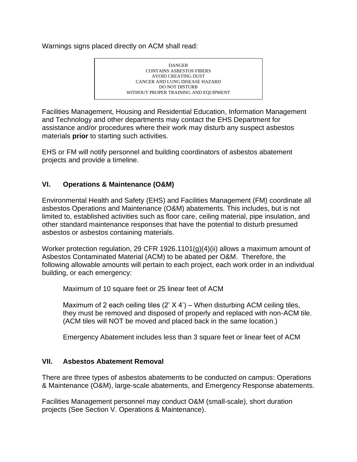Warnings signs placed directly on ACM shall read:



Facilities Management, Housing and Residential Education, Information Management and Technology and other departments may contact the EHS Department for assistance and/or procedures where their work may disturb any suspect asbestos materials **prior** to starting such activities.

EHS or FM will notify personnel and building coordinators of asbestos abatement projects and provide a timeline.

### **VI. Operations & Maintenance (O&M)**

Environmental Health and Safety (EHS) and Facilities Management (FM) coordinate all asbestos Operations and Maintenance (O&M) abatements. This includes, but is not limited to, established activities such as floor care, ceiling material, pipe insulation, and other standard maintenance responses that have the potential to disturb presumed asbestos or asbestos containing materials.

Worker protection regulation, 29 CFR 1926.1101(g)(4)(ii) allows a maximum amount of Asbestos Contaminated Material (ACM) to be abated per O&M. Therefore, the following allowable amounts will pertain to each project, each work order in an individual building, or each emergency:

Maximum of 10 square feet or 25 linear feet of ACM

Maximum of 2 each ceiling tiles  $(2' \times 4')$  – When disturbing ACM ceiling tiles, they must be removed and disposed of properly and replaced with non-ACM tile. (ACM tiles will NOT be moved and placed back in the same location.)

Emergency Abatement includes less than 3 square feet or linear feet of ACM

### **VII. Asbestos Abatement Removal**

There are three types of asbestos abatements to be conducted on campus: Operations & Maintenance (O&M), large-scale abatements, and Emergency Response abatements.

Facilities Management personnel may conduct O&M (small-scale), short duration projects (See Section V. Operations & Maintenance).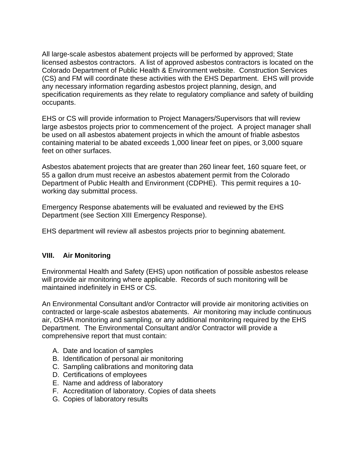All large-scale asbestos abatement projects will be performed by approved; State licensed asbestos contractors. A list of approved asbestos contractors is located on the Colorado Department of Public Health & Environment website. Construction Services (CS) and FM will coordinate these activities with the EHS Department. EHS will provide any necessary information regarding asbestos project planning, design, and specification requirements as they relate to regulatory compliance and safety of building occupants.

EHS or CS will provide information to Project Managers/Supervisors that will review large asbestos projects prior to commencement of the project. A project manager shall be used on all asbestos abatement projects in which the amount of friable asbestos containing material to be abated exceeds 1,000 linear feet on pipes, or 3,000 square feet on other surfaces.

Asbestos abatement projects that are greater than 260 linear feet, 160 square feet, or 55 a gallon drum must receive an asbestos abatement permit from the Colorado Department of Public Health and Environment (CDPHE). This permit requires a 10 working day submittal process.

Emergency Response abatements will be evaluated and reviewed by the EHS Department (see Section XIII Emergency Response).

EHS department will review all asbestos projects prior to beginning abatement.

### **VIII. Air Monitoring**

Environmental Health and Safety (EHS) upon notification of possible asbestos release will provide air monitoring where applicable. Records of such monitoring will be maintained indefinitely in EHS or CS.

An Environmental Consultant and/or Contractor will provide air monitoring activities on contracted or large-scale asbestos abatements. Air monitoring may include continuous air, OSHA monitoring and sampling, or any additional monitoring required by the EHS Department. The Environmental Consultant and/or Contractor will provide a comprehensive report that must contain:

- A. Date and location of samples
- B. Identification of personal air monitoring
- C. Sampling calibrations and monitoring data
- D. Certifications of employees
- E. Name and address of laboratory
- F. Accreditation of laboratory. Copies of data sheets
- G. Copies of laboratory results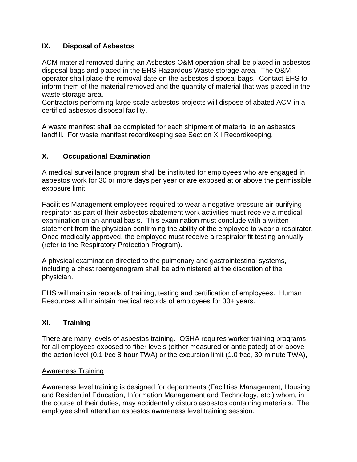## **IX. Disposal of Asbestos**

ACM material removed during an Asbestos O&M operation shall be placed in asbestos disposal bags and placed in the EHS Hazardous Waste storage area. The O&M operator shall place the removal date on the asbestos disposal bags. Contact EHS to inform them of the material removed and the quantity of material that was placed in the waste storage area.

Contractors performing large scale asbestos projects will dispose of abated ACM in a certified asbestos disposal facility.

A waste manifest shall be completed for each shipment of material to an asbestos landfill. For waste manifest recordkeeping see Section XII Recordkeeping.

### **X. Occupational Examination**

A medical surveillance program shall be instituted for employees who are engaged in asbestos work for 30 or more days per year or are exposed at or above the permissible exposure limit.

Facilities Management employees required to wear a negative pressure air purifying respirator as part of their asbestos abatement work activities must receive a medical examination on an annual basis. This examination must conclude with a written statement from the physician confirming the ability of the employee to wear a respirator. Once medically approved, the employee must receive a respirator fit testing annually (refer to the Respiratory Protection Program).

A physical examination directed to the pulmonary and gastrointestinal systems, including a chest roentgenogram shall be administered at the discretion of the physician.

EHS will maintain records of training, testing and certification of employees. Human Resources will maintain medical records of employees for 30+ years.

### **XI. Training**

There are many levels of asbestos training. OSHA requires worker training programs for all employees exposed to fiber levels (either measured or anticipated) at or above the action level (0.1 f/cc 8-hour TWA) or the excursion limit (1.0 f/cc, 30-minute TWA),

### Awareness Training

Awareness level training is designed for departments (Facilities Management, Housing and Residential Education, Information Management and Technology, etc.) whom, in the course of their duties, may accidentally disturb asbestos containing materials. The employee shall attend an asbestos awareness level training session.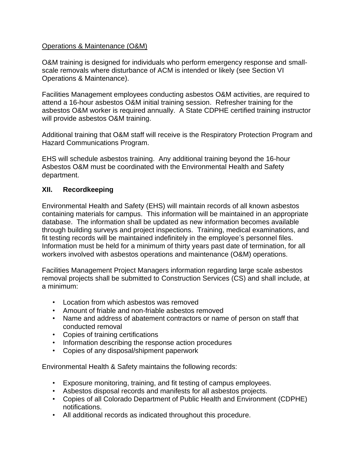#### Operations & Maintenance (O&M)

O&M training is designed for individuals who perform emergency response and smallscale removals where disturbance of ACM is intended or likely (see Section VI Operations & Maintenance).

Facilities Management employees conducting asbestos O&M activities, are required to attend a 16-hour asbestos O&M initial training session. Refresher training for the asbestos O&M worker is required annually. A State CDPHE certified training instructor will provide asbestos O&M training.

Additional training that O&M staff will receive is the Respiratory Protection Program and Hazard Communications Program.

EHS will schedule asbestos training. Any additional training beyond the 16-hour Asbestos O&M must be coordinated with the Environmental Health and Safety department.

#### **XII. Recordkeeping**

Environmental Health and Safety (EHS) will maintain records of all known asbestos containing materials for campus. This information will be maintained in an appropriate database. The information shall be updated as new information becomes available through building surveys and project inspections. Training, medical examinations, and fit testing records will be maintained indefinitely in the employee's personnel files. Information must be held for a minimum of thirty years past date of termination, for all workers involved with asbestos operations and maintenance (O&M) operations.

Facilities Management Project Managers information regarding large scale asbestos removal projects shall be submitted to Construction Services (CS) and shall include, at a minimum:

- Location from which asbestos was removed
- Amount of friable and non-friable asbestos removed
- Name and address of abatement contractors or name of person on staff that conducted removal
- Copies of training certifications
- Information describing the response action procedures
- Copies of any disposal/shipment paperwork

Environmental Health & Safety maintains the following records:

- Exposure monitoring, training, and fit testing of campus employees.
- Asbestos disposal records and manifests for all asbestos projects.
- Copies of all Colorado Department of Public Health and Environment (CDPHE) notifications.
- All additional records as indicated throughout this procedure.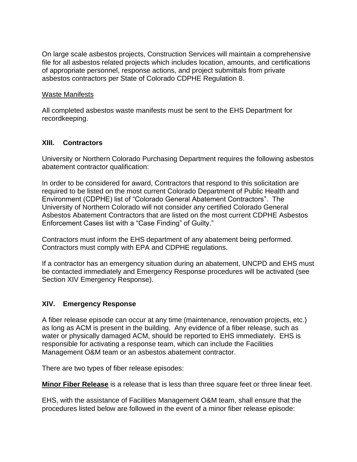On large scale asbestos projects, Construction Services will maintain a comprehensive file for all asbestos related projects which includes location, amounts, and certifications of appropriate personnel, response actions, and project submittals from private asbestos contractors per State of Colorado CDPHE Regulation 8.

#### Waste Manifests

All completed asbestos waste manifests must be sent to the EHS Department for recordkeeping.

### **XIII. Contractors**

University or Northern Colorado Purchasing Department requires the following asbestos abatement contractor qualification:

In order to be considered for award, Contractors that respond to this solicitation are required to be listed on the most current Colorado Department of Public Health and Environment (CDPHE) list of "Colorado General Abatement Contractors". The University of Northern Colorado will not consider any certified Colorado General Asbestos Abatement Contractors that are listed on the most current CDPHE Asbestos Enforcement Cases list with a "Case Finding" of Guilty."

Contractors must inform the EHS department of any abatement being performed. Contractors must comply with EPA and CDPHE regulations.

If a contractor has an emergency situation during an abatement, UNCPD and EHS must be contacted immediately and Emergency Response procedures will be activated (see Section XIV Emergency Response).

#### **XIV. Emergency Response**

A fiber release episode can occur at any time (maintenance, renovation projects, etc.) as long as ACM is present in the building. Any evidence of a fiber release, such as water or physically damaged ACM, should be reported to EHS immediately. EHS is responsible for activating a response team, which can include the Facilities Management O&M team or an asbestos abatement contractor.

There are two types of fiber release episodes:

**Minor Fiber Release** is a release that is less than three square feet or three linear feet.

EHS, with the assistance of Facilities Management O&M team, shall ensure that the procedures listed below are followed in the event of a minor fiber release episode: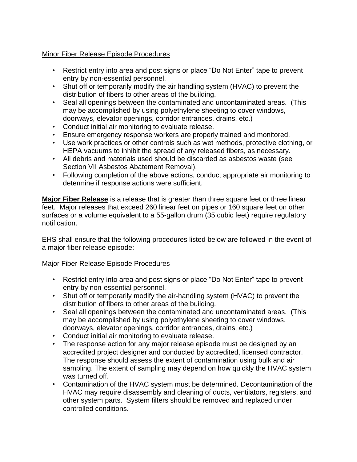#### **Minor Fiber Release Episode Procedures**

- Restrict entry into area and post signs or place "Do Not Enter" tape to prevent entry by non-essential personnel.
- Shut off or temporarily modify the air handling system (HVAC) to prevent the distribution of fibers to other areas of the building.
- Seal all openings between the contaminated and uncontaminated areas. (This may be accomplished by using polyethylene sheeting to cover windows, doorways, elevator openings, corridor entrances, drains, etc.)
- Conduct initial air monitoring to evaluate release.
- Ensure emergency response workers are properly trained and monitored.
- Use work practices or other controls such as wet methods, protective clothing, or HEPA vacuums to inhibit the spread of any released fibers, as necessary.
- All debris and materials used should be discarded as asbestos waste (see Section VII Asbestos Abatement Removal).
- Following completion of the above actions, conduct appropriate air monitoring to determine if response actions were sufficient.

**Major Fiber Release** is a release that is greater than three square feet or three linear feet. Major releases that exceed 260 linear feet on pipes or 160 square feet on other surfaces or a volume equivalent to a 55-gallon drum (35 cubic feet) require regulatory notification.

EHS shall ensure that the following procedures listed below are followed in the event of a major fiber release episode:

#### Major Fiber Release Episode Procedures

- Restrict entry into area and post signs or place "Do Not Enter" tape to prevent entry by non-essential personnel.
- Shut off or temporarily modify the air-handling system (HVAC) to prevent the distribution of fibers to other areas of the building.
- Seal all openings between the contaminated and uncontaminated areas. (This may be accomplished by using polyethylene sheeting to cover windows, doorways, elevator openings, corridor entrances, drains, etc.)
- Conduct initial air monitoring to evaluate release.
- The response action for any major release episode must be designed by an accredited project designer and conducted by accredited, licensed contractor. The response should assess the extent of contamination using bulk and air sampling. The extent of sampling may depend on how quickly the HVAC system was turned off.
- Contamination of the HVAC system must be determined. Decontamination of the HVAC may require disassembly and cleaning of ducts, ventilators, registers, and other system parts. System filters should be removed and replaced under controlled conditions.